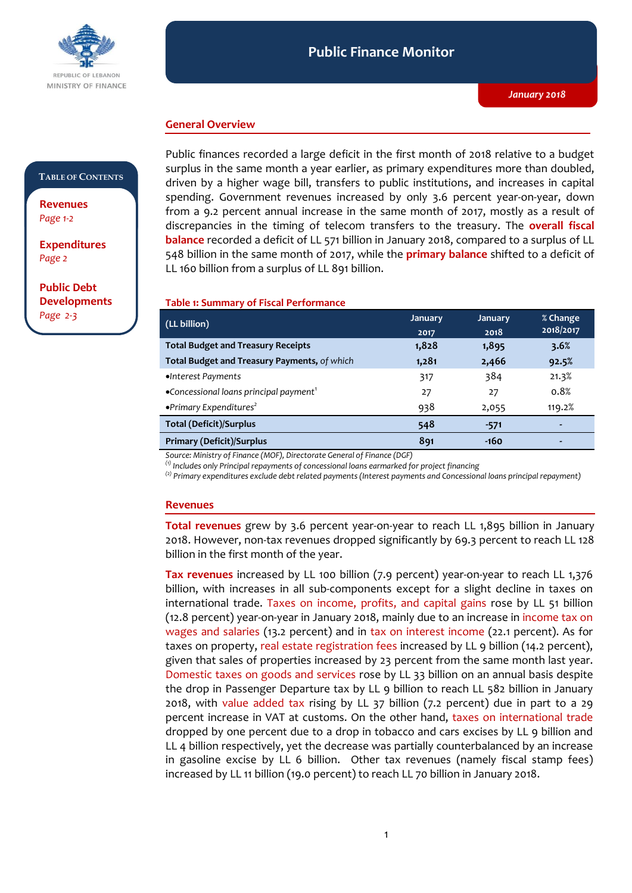

### **General Overview**

#### **TABLE OF CONTENTS**

**Revenues**  *Page 1-2*

**Expenditures**  *Page 2* 

**Public Debt Developments** *Page 2-3*

Public finances recorded a large deficit in the first month of 2018 relative to a budget surplus in the same month a year earlier, as primary expenditures more than doubled, driven by a higher wage bill, transfers to public institutions, and increases in capital spending. Government revenues increased by only 3.6 percent year-on-year, down from a 9.2 percent annual increase in the same month of 2017, mostly as a result of discrepancies in the timing of telecom transfers to the treasury. The **overall fiscal balance** recorded a deficit of LL 571 billion in January 2018, compared to a surplus of LL 548 billion in the same month of 2017, while the **primary balance** shifted to a deficit of LL 160 billion from a surplus of LL 891 billion.

## **Table 1: Summary of Fiscal Performance**

| (LL billion)                                                | <b>January</b> | <b>January</b> | % Change  |
|-------------------------------------------------------------|----------------|----------------|-----------|
|                                                             | 2017           | 2018           | 2018/2017 |
| <b>Total Budget and Treasury Receipts</b>                   | 1,828          | 1,895          | 3.6%      |
| Total Budget and Treasury Payments, of which                | 1,281          | 2,466          | 92.5%     |
| •Interest Payments                                          | 317            | 384            | 21.3%     |
| $\bullet$ Concessional loans principal payment <sup>1</sup> | 27             | 27             | 0.8%      |
| $\bullet$ Primary Expenditures <sup>2</sup>                 | 938            | 2,055          | 119.2%    |
| <b>Total (Deficit)/Surplus</b>                              | 548            | $-571$         | ٠         |
| <b>Primary (Deficit)/Surplus</b>                            | 891            | $-160$         | ٠         |

*Source: Ministry of Finance (MOF), Directorate General of Finance (DGF)*

*(1) Includes only Principal repayments of concessional loans earmarked for project financing*

*(2) Primary expenditures exclude debt related payments (Interest payments and Concessional loans principal repayment)*

#### **Revenues**

**Total revenues** grew by 3.6 percent year-on-year to reach LL 1,895 billion in January 2018. However, non-tax revenues dropped significantly by 69.3 percent to reach LL 128 billion in the first month of the year.

**Tax revenues** increased by LL 100 billion (7.9 percent) year-on-year to reach LL 1,376 billion, with increases in all sub-components except for a slight decline in taxes on international trade. Taxes on income, profits, and capital gains rose by LL 51 billion (12.8 percent) year-on-year in January 2018, mainly due to an increase in income tax on wages and salaries (13.2 percent) and in tax on interest income (22.1 percent). As for taxes on property, real estate registration fees increased by LL 9 billion (14.2 percent), given that sales of properties increased by 23 percent from the same month last year. Domestic taxes on goods and services rose by LL 33 billion on an annual basis despite the drop in Passenger Departure tax by LL 9 billion to reach LL 582 billion in January 2018, with value added tax rising by LL 37 billion (7.2 percent) due in part to a 29 percent increase in VAT at customs. On the other hand, taxes on international trade dropped by one percent due to a drop in tobacco and cars excises by LL 9 billion and LL 4 billion respectively, yet the decrease was partially counterbalanced by an increase in gasoline excise by LL 6 billion. Other tax revenues (namely fiscal stamp fees) increased by LL 11 billion (19.0 percent) to reach LL 70 billion in January 2018.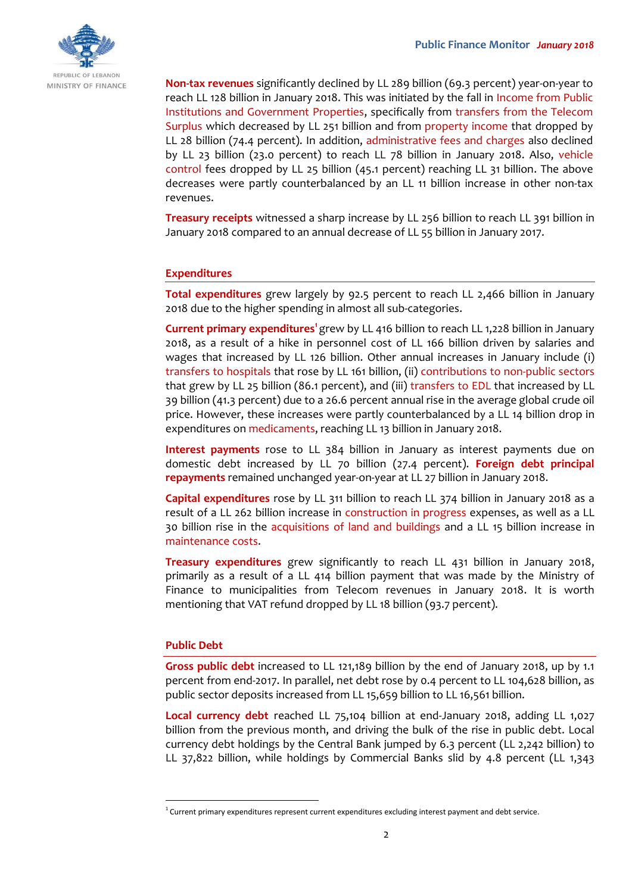

**Non-tax revenues** significantly declined by LL 289 billion (69.3 percent) year-on-year to reach LL 128 billion in January 2018. This was initiated by the fall in Income from Public Institutions and Government Properties, specifically from transfers from the Telecom Surplus which decreased by LL 251 billion and from property income that dropped by LL 28 billion (74.4 percent). In addition, administrative fees and charges also declined by LL 23 billion (23.0 percent) to reach LL 78 billion in January 2018. Also, vehicle control fees dropped by LL 25 billion (45.1 percent) reaching LL 31 billion. The above decreases were partly counterbalanced by an LL 11 billion increase in other non-tax revenues.

**Treasury receipts** witnessed a sharp increase by LL 256 billion to reach LL 391 billion in January 2018 compared to an annual decrease of LL 55 billion in January 2017.

## **Expenditures**

**Total expenditures** grew largely by 92.5 percent to reach LL 2,466 billion in January 2018 due to the higher spending in almost all sub-categories.

Current primary expenditures<sup>1</sup> grew by LL 416 billion to reach LL 1,228 billion in January 2018, as a result of a hike in personnel cost of LL 166 billion driven by salaries and wages that increased by LL 126 billion. Other annual increases in January include (i) transfers to hospitals that rose by LL 161 billion, (ii) contributions to non-public sectors that grew by LL 25 billion (86.1 percent), and (iii) transfers to EDL that increased by LL 39 billion (41.3 percent) due to a 26.6 percent annual rise in the average global crude oil price. However, these increases were partly counterbalanced by a LL 14 billion drop in expenditures on medicaments, reaching LL 13 billion in January 2018.

**Interest payments** rose to LL 384 billion in January as interest payments due on domestic debt increased by LL 70 billion (27.4 percent). **Foreign debt principal repayments** remained unchanged year-on-year at LL 27 billion in January 2018.

**Capital expenditures** rose by LL 311 billion to reach LL 374 billion in January 2018 as a result of a LL 262 billion increase in construction in progress expenses, as well as a LL 30 billion rise in the acquisitions of land and buildings and a LL 15 billion increase in maintenance costs.

**Treasury expenditures** grew significantly to reach LL 431 billion in January 2018, primarily as a result of a LL 414 billion payment that was made by the Ministry of Finance to municipalities from Telecom revenues in January 2018. It is worth mentioning that VAT refund dropped by LL 18 billion (93.7 percent).

## **Public Debt**

-

**Gross public debt** increased to LL 121,189 billion by the end of January 2018, up by 1.1 percent from end-2017. In parallel, net debt rose by 0.4 percent to LL 104,628 billion, as public sector deposits increased from LL 15,659 billion to LL 16,561 billion.

**Local currency debt** reached LL 75,104 billion at end-January 2018, adding LL 1,027 billion from the previous month, and driving the bulk of the rise in public debt. Local currency debt holdings by the Central Bank jumped by 6.3 percent (LL 2,242 billion) to LL 37,822 billion, while holdings by Commercial Banks slid by 4.8 percent (LL 1,343

<sup>&</sup>lt;sup>1</sup> Current primary expenditures represent current expenditures excluding interest payment and debt service.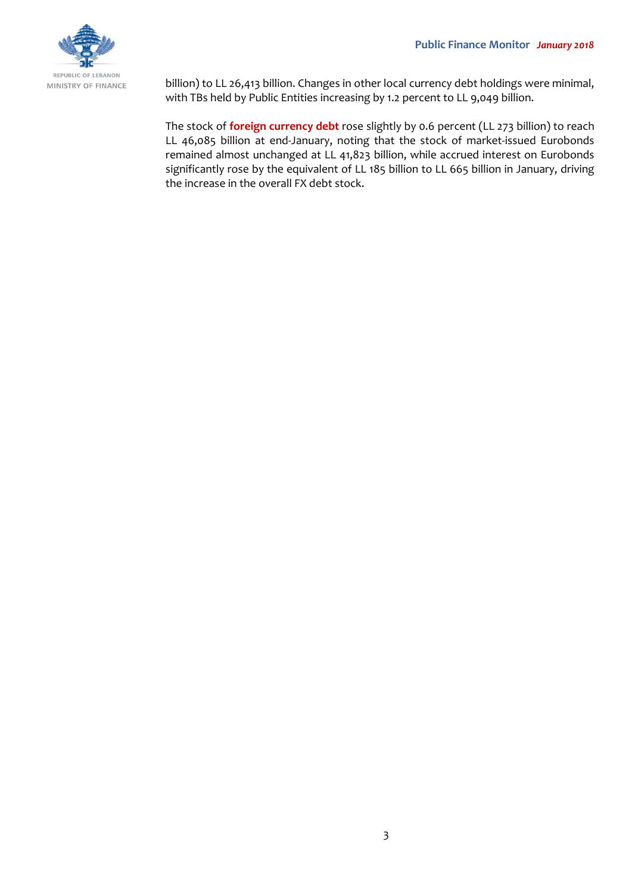

billion) to LL 26,413 billion. Changes in other local currency debt holdings were minimal, with TBs held by Public Entities increasing by 1.2 percent to LL 9,049 billion.

The stock of **foreign currency debt** rose slightly by 0.6 percent (LL 273 billion) to reach LL 46,085 billion at end-January, noting that the stock of market-issued Eurobonds remained almost unchanged at LL 41,823 billion, while accrued interest on Eurobonds significantly rose by the equivalent of LL 185 billion to LL 665 billion in January, driving the increase in the overall FX debt stock.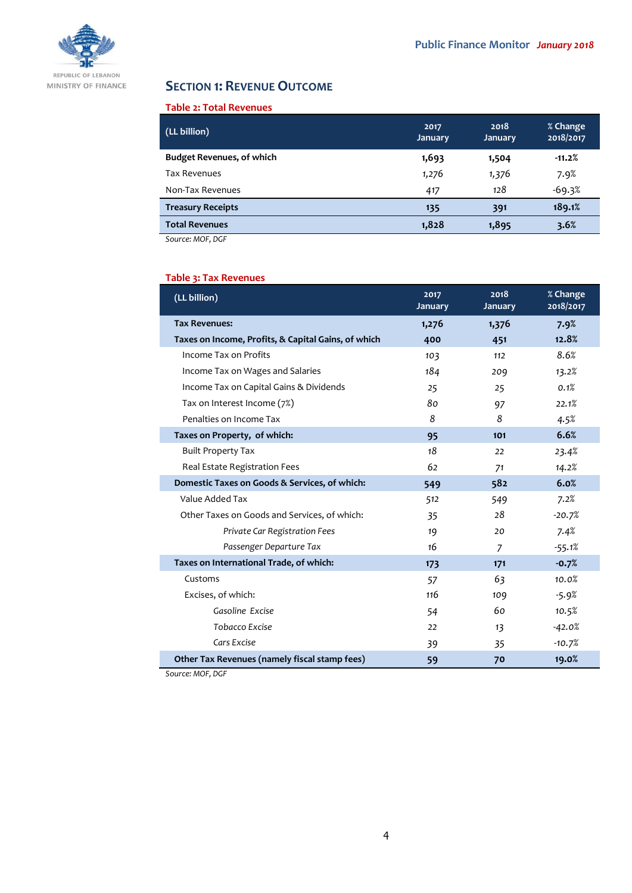

# **SECTION 1: REVENUE OUTCOME**

# **Table 2: Total Revenues**

| (LL billion)                     | 2017<br><b>January</b> | 2018<br><b>January</b> | % Change<br>2018/2017 |
|----------------------------------|------------------------|------------------------|-----------------------|
| <b>Budget Revenues, of which</b> | 1,693                  | 1,504                  | $-11.2%$              |
| Tax Revenues                     | 1,276                  | 1,376                  | 7.9%                  |
| Non-Tax Revenues                 | 417                    | 128                    | $-69.3%$              |
| <b>Treasury Receipts</b>         | 135                    | 391                    | 189.1%                |
| <b>Total Revenues</b>            | 1,828                  | 1,895                  | 3.6%                  |

*Source: MOF, DGF*

# **Table 3: Tax Revenues**

| (LL billion)                                        | 2017<br><b>January</b> | 2018<br><b>January</b> | % Change<br>2018/2017 |
|-----------------------------------------------------|------------------------|------------------------|-----------------------|
| <b>Tax Revenues:</b>                                | 1,276                  | 1,376                  | 7.9%                  |
| Taxes on Income, Profits, & Capital Gains, of which | 400                    | 451                    | 12.8%                 |
| Income Tax on Profits                               | 103                    | 112                    | 8.6%                  |
| Income Tax on Wages and Salaries                    | 184                    | 209                    | 13.2%                 |
| Income Tax on Capital Gains & Dividends             | 25                     | 25                     | 0.1%                  |
| Tax on Interest Income (7%)                         | 80                     | 97                     | 22.1%                 |
| Penalties on Income Tax                             | 8                      | 8                      | 4.5%                  |
| Taxes on Property, of which:                        | 95                     | 101                    | 6.6%                  |
| <b>Built Property Tax</b>                           | 18                     | 22                     | 23.4%                 |
| Real Estate Registration Fees                       | 62                     | 71                     | 14.2%                 |
| Domestic Taxes on Goods & Services, of which:       | 549                    | 582                    | 6.0%                  |
| Value Added Tax                                     | 512                    | 549                    | 7.2%                  |
| Other Taxes on Goods and Services, of which:        | 35                     | 28                     | $-20.7%$              |
| Private Car Registration Fees                       | 19                     | 20                     | 7.4%                  |
| Passenger Departure Tax                             | 16                     | $\overline{z}$         | $-55.1%$              |
| Taxes on International Trade, of which:             | 173                    | 171                    | $-0.7%$               |
| Customs                                             | 57                     | 63                     | 10.0%                 |
| Excises, of which:                                  | 116                    | 109                    | $-5.9%$               |
| Gasoline Excise                                     | 54                     | 60                     | 10.5%                 |
| Tobacco Excise                                      | 22                     | 13                     | $-42.0%$              |
| Cars Excise                                         | 39                     | 35                     | $-10.7%$              |
| Other Tax Revenues (namely fiscal stamp fees)       | 59                     | 70                     | 19.0%                 |

*Source: MOF, DGF*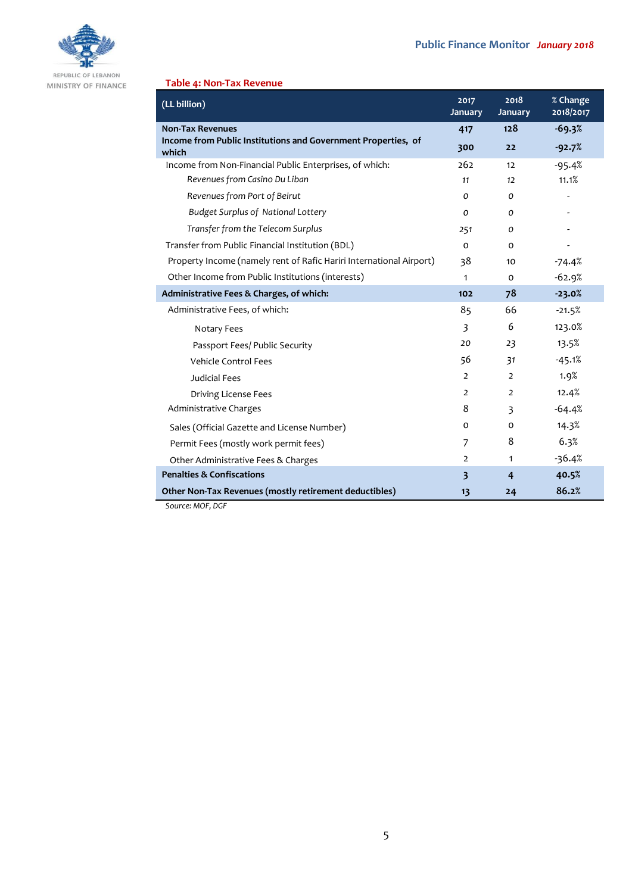

MINISTRY OF FINANCE

# **Table 4: Non-Tax Revenue**

| (LL billion)                                                           | 2017<br>January         | 2018<br>January | % Change<br>2018/2017 |
|------------------------------------------------------------------------|-------------------------|-----------------|-----------------------|
| <b>Non-Tax Revenues</b>                                                | 417                     | 128             | $-69.3%$              |
| Income from Public Institutions and Government Properties, of<br>which | 300                     | 22              | $-92.7%$              |
| Income from Non-Financial Public Enterprises, of which:                | 262                     | 12              | $-95.4%$              |
| Revenues from Casino Du Liban                                          | 11                      | 12              | 11.1%                 |
| Revenues from Port of Beirut                                           | O                       | 0               |                       |
| <b>Budget Surplus of National Lottery</b>                              | 0                       | 0               |                       |
| Transfer from the Telecom Surplus                                      | 251                     | 0               |                       |
| Transfer from Public Financial Institution (BDL)                       | $\Omega$                | $\Omega$        |                       |
| Property Income (namely rent of Rafic Hariri International Airport)    | 38                      | 10              | $-74.4%$              |
| Other Income from Public Institutions (interests)                      | 1                       | $\Omega$        | $-62.9%$              |
| Administrative Fees & Charges, of which:                               | 102                     | 78              | $-23.0%$              |
| Administrative Fees, of which:                                         | 85                      | 66              | $-21.5%$              |
| Notary Fees                                                            | 3                       | 6               | 123.0%                |
| Passport Fees/ Public Security                                         | 20                      | 23              | 13.5%                 |
| <b>Vehicle Control Fees</b>                                            | 56                      | 31              | $-45.1%$              |
| <b>Judicial Fees</b>                                                   | $\overline{2}$          | $\overline{2}$  | 1.9%                  |
| <b>Driving License Fees</b>                                            | $\overline{2}$          | $\overline{2}$  | 12.4%                 |
| Administrative Charges                                                 | 8                       | 3               | $-64.4%$              |
| Sales (Official Gazette and License Number)                            | o                       | 0               | 14.3%                 |
| Permit Fees (mostly work permit fees)                                  | 7                       | 8               | 6.3%                  |
| Other Administrative Fees & Charges                                    | $\overline{2}$          | $\mathbf{1}$    | $-36.4%$              |
| <b>Penalties &amp; Confiscations</b>                                   | $\overline{\mathbf{3}}$ | $\overline{4}$  | 40.5%                 |
| Other Non-Tax Revenues (mostly retirement deductibles)<br>1105.05      | 13                      | 24              | 86.2%                 |

*Source: MOF, DGF*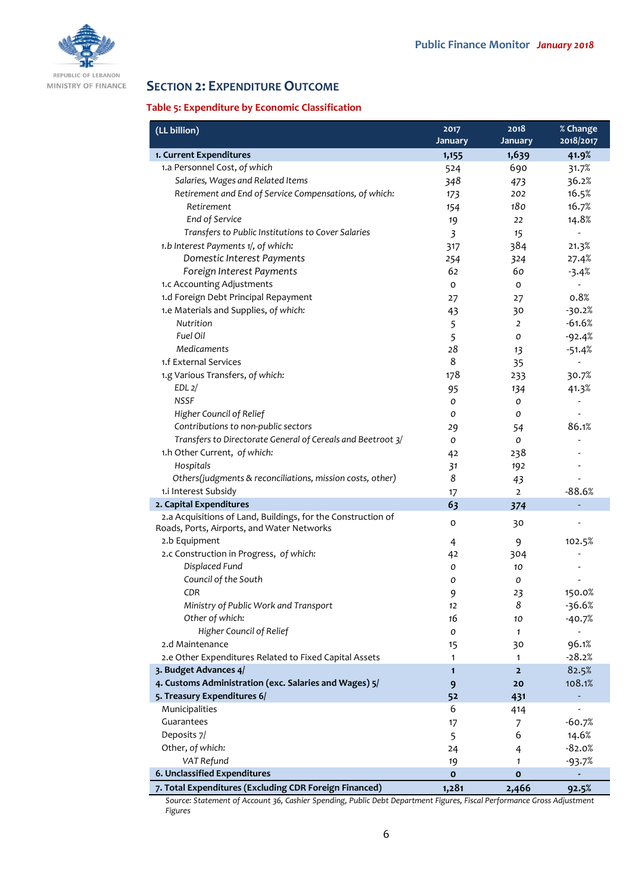

REPUBLIC OF LEBANON MINISTRY OF FINANCE

# **SECTION 2: EXPENDITURE OUTCOME**

# **Table 5: Expenditure by Economic Classification**

| (LL billion)                                                 | 2017                    | 2018                    | % Change           |
|--------------------------------------------------------------|-------------------------|-------------------------|--------------------|
| 1. Current Expenditures                                      | January                 | <b>January</b><br>1,639 | 2018/2017<br>41.9% |
| 1.a Personnel Cost, of which                                 | 1,155                   | 690                     |                    |
| Salaries, Wages and Related Items                            | 524                     |                         | 31.7%<br>36.2%     |
| Retirement and End of Service Compensations, of which:       | 348                     | 473                     |                    |
| Retirement                                                   | 173                     | 202<br>180              | 16.5%              |
|                                                              | 154                     |                         | 16.7%              |
| End of Service                                               | 19                      | 22                      | 14.8%              |
| Transfers to Public Institutions to Cover Salaries           | $\overline{\mathbf{3}}$ | 15                      |                    |
| 1.b Interest Payments 1/, of which:                          | 317                     | 384                     | 21.3%              |
| Domestic Interest Payments                                   | 254                     | 324                     | 27.4%              |
| Foreign Interest Payments                                    | 62                      | 60                      | $-3.4%$            |
| 1.c Accounting Adjustments                                   | O                       | 0                       |                    |
| 1.d Foreign Debt Principal Repayment                         | 27                      | 27                      | 0.8%               |
| 1.e Materials and Supplies, of which:                        | 43                      | 30                      | $-30.2%$           |
| Nutrition                                                    | 5                       | $\overline{2}$          | $-61.6%$           |
| Fuel Oil                                                     | 5                       | 0                       | $-92.4%$           |
| <b>Medicaments</b>                                           | 28                      | 13                      | $-51.4%$           |
| 1.f External Services                                        | 8                       | 35                      |                    |
| 1.g Various Transfers, of which:                             | 178                     | 233                     | 30.7%              |
| EDL <sub>2</sub>                                             | 95                      | 134                     | 41.3%              |
| <b>NSSF</b>                                                  | O                       | o                       |                    |
| Higher Council of Relief                                     | 0                       | 0                       |                    |
| Contributions to non-public sectors                          | 29                      | 54                      | 86.1%              |
| Transfers to Directorate General of Cereals and Beetroot 3/  | 0                       | 0                       |                    |
| 1.h Other Current, of which:                                 | 4 <sup>2</sup>          | 238                     |                    |
| Hospitals                                                    | 31                      | 192                     |                    |
| Others(judgments & reconciliations, mission costs, other)    | 8                       | 43                      |                    |
| 1.i Interest Subsidy                                         | 17                      | $\overline{2}$          | $-88.6%$           |
| 2. Capital Expenditures                                      | 63                      | 374                     |                    |
| 2.a Acquisitions of Land, Buildings, for the Construction of | 0                       | 30                      |                    |
| Roads, Ports, Airports, and Water Networks                   |                         |                         |                    |
| 2.b Equipment                                                | 4                       | 9                       | 102.5%             |
| 2.c Construction in Progress, of which:                      | 42                      | 304                     |                    |
| Displaced Fund                                               | 0                       | 10                      |                    |
| Council of the South                                         | O                       | 0                       |                    |
| CDR                                                          | 9                       | 23                      | 150.0%             |
| Ministry of Public Work and Transport                        | 12                      | 8                       | $-36.6%$           |
| Other of which:                                              | 16                      | 10                      | $-40.7%$           |
| Higher Council of Relief                                     | 0                       | $\mathbf{1}$            |                    |
| 2.d Maintenance                                              | 15                      | 30                      | 96.1%              |
| 2.e Other Expenditures Related to Fixed Capital Assets       | $\mathbf{1}$            | 1                       | $-28.2%$           |
| 3. Budget Advances 4/                                        | $\mathbf{1}$            | $\overline{2}$          | 82.5%              |
| 4. Customs Administration (exc. Salaries and Wages) 5/       | 9                       | 20                      | 108.1%             |
| 5. Treasury Expenditures 6/                                  | 52                      | 431                     |                    |
| Municipalities                                               | 6                       | 414                     |                    |
| Guarantees                                                   | 17                      | 7                       | $-60.7%$           |
| Deposits 7/                                                  | 5                       | 6                       | 14.6%              |
| Other, of which:                                             | 24                      | $\overline{4}$          | $-82.0%$           |
| VAT Refund                                                   | 19                      | 1                       | $-93.7%$           |
| 6. Unclassified Expenditures                                 | $\mathbf{o}$            | $\mathbf{o}$            |                    |
| 7. Total Expenditures (Excluding CDR Foreign Financed)       | 1,281                   | 2,466                   | 92.5%              |

*Source: Statement of Account 36, Cashier Spending, Public Debt Department Figures, Fiscal Performance Gross Adjustment Figures*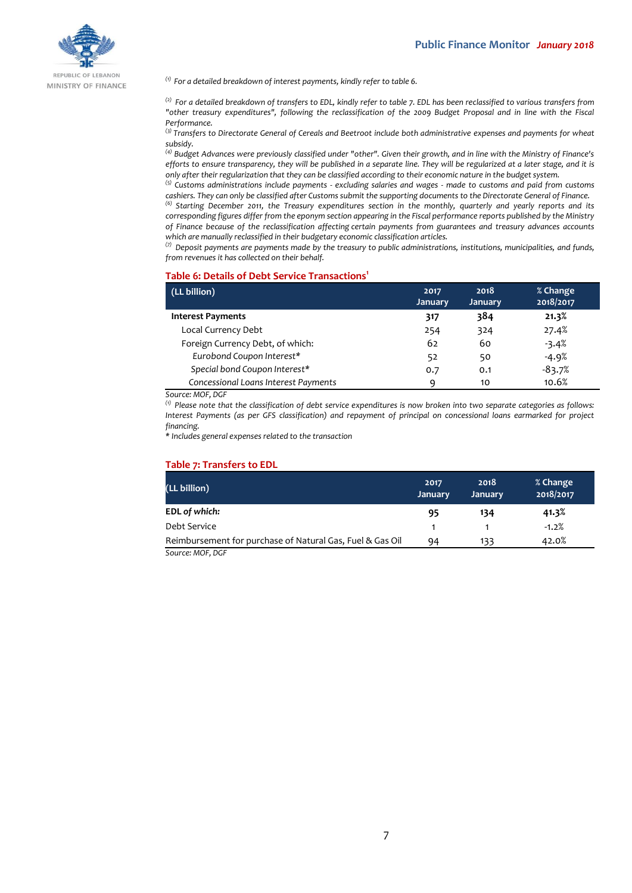

REPUBLIC OF LEBANON MINISTRY OF FINANCE

*(1) For a detailed breakdown of interest payments, kindly refer to table 6.*

*(2) For a detailed breakdown of transfers to EDL, kindly refer to table 7. EDL has been reclassified to various transfers from "other treasury expenditures", following the reclassification of the 2009 Budget Proposal and in line with the Fiscal Performance.*

*(3) Transfers to Directorate General of Cereals and Beetroot include both administrative expenses and payments for wheat subsidy.*

*(4) Budget Advances were previously classified under "other". Given their growth, and in line with the Ministry of Finance's efforts to ensure transparency, they will be published in a separate line. They will be regularized at a later stage, and it is only after their regularization that they can be classified according to their economic nature in the budget system.*

*(5) Customs administrations include payments - excluding salaries and wages - made to customs and paid from customs cashiers. They can only be classified after Customs submit the supporting documents to the Directorate General of Finance.*

*(6) Starting December 2011, the Treasury expenditures section in the monthly, quarterly and yearly reports and its corresponding figures differ from the eponym section appearing in the Fiscal performance reports published by the Ministry of Finance because of the reclassification affecting certain payments from guarantees and treasury advances accounts which are manually reclassified in their budgetary economic classification articles.*

*(7) Deposit payments are payments made by the treasury to public administrations, institutions, municipalities, and funds, from revenues it has collected on their behalf.*

#### **Table 6: Details of Debt Service Transactions<sup>1</sup>**

| (LL billion)                         | 2017<br><b>January</b> | 2018<br>January | % Change<br>2018/2017 |
|--------------------------------------|------------------------|-----------------|-----------------------|
| <b>Interest Payments</b>             | 317                    | 384             | 21.3%                 |
| Local Currency Debt                  | 254                    | 324             | 27.4%                 |
| Foreign Currency Debt, of which:     | 62                     | 60              | $-3.4%$               |
| Eurobond Coupon Interest*            | 52                     | 50              | $-4.9%$               |
| Special bond Coupon Interest*        | 0.7                    | 0.1             | $-83.7%$              |
| Concessional Loans Interest Payments | q                      | 10              | 10.6%                 |

*Source: MOF, DGF*

*(1) Please note that the classification of debt service expenditures is now broken into two separate categories as follows: Interest Payments (as per GFS classification) and repayment of principal on concessional loans earmarked for project financing.*

*\* Includes general expenses related to the transaction*

#### **Table 7: Transfers to EDL**

| (LL billion)                                                       | 2017<br>January | 2018<br><b>January</b> | % Change<br>2018/2017 |
|--------------------------------------------------------------------|-----------------|------------------------|-----------------------|
| EDL of which:                                                      | 95              | 134                    | 41.3%                 |
| Debt Service                                                       |                 |                        | $-1.2%$               |
| Reimbursement for purchase of Natural Gas, Fuel & Gas Oil          | 94              | 133                    | 42.0%                 |
| $C_{\text{out}}$ $\sim$ $M$ $\cap$ $\Gamma$ $\cap$ $\cap$ $\Gamma$ |                 |                        |                       |

*Source: MOF, DGF*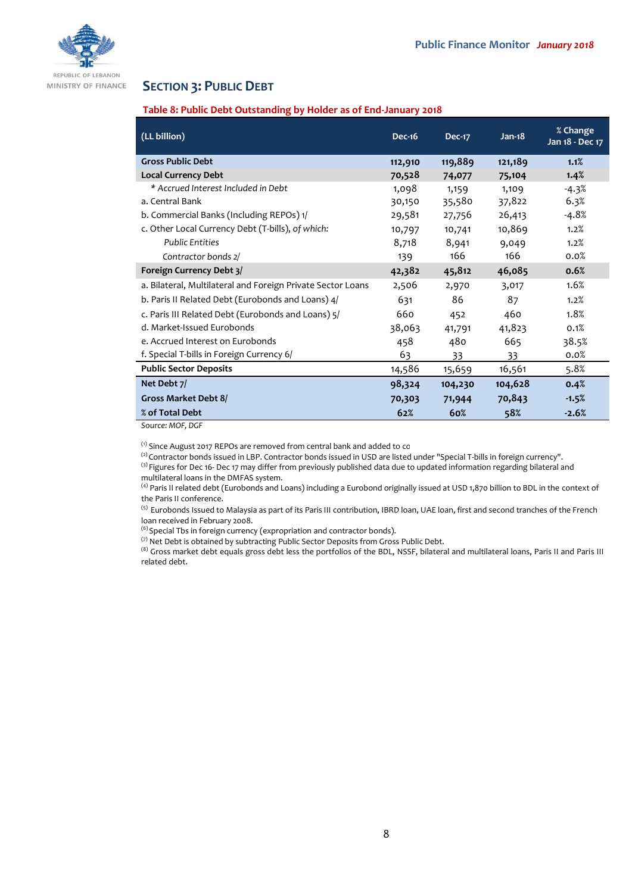

# **SECTION 3: PUBLIC DEBT**

### **Table 8: Public Debt Outstanding by Holder as of End-January 2018**

| (LL billion)                                                | <b>Dec-16</b> | <b>Dec-17</b> | $Jan-18$ | % Change<br>Jan 18 - Dec 17 |
|-------------------------------------------------------------|---------------|---------------|----------|-----------------------------|
| <b>Gross Public Debt</b>                                    | 112,910       | 119,889       | 121,189  | 1.1%                        |
| <b>Local Currency Debt</b>                                  | 70,528        | 74,077        | 75,104   | 1.4%                        |
| * Accrued Interest Included in Debt                         | 1,098         | 1,159         | 1,109    | -4.3%                       |
| a. Central Bank                                             | 30,150        | 35,580        | 37,822   | 6.3%                        |
| b. Commercial Banks (Including REPOs) 1/                    | 29,581        | 27,756        | 26,413   | -4.8%                       |
| c. Other Local Currency Debt (T-bills), of which:           | 10,797        | 10,741        | 10,869   | 1.2%                        |
| <b>Public Entities</b>                                      | 8,718         | 8,941         | 9,049    | 1.2%                        |
| Contractor bonds 2/                                         | 139           | 166           | 166      | 0.0%                        |
| Foreign Currency Debt 3/                                    | 42,382        | 45,812        | 46,085   | 0.6%                        |
| a. Bilateral, Multilateral and Foreign Private Sector Loans | 2,506         | 2,970         | 3,017    | 1.6%                        |
| b. Paris II Related Debt (Eurobonds and Loans) 4/           | 631           | 86            | 87       | 1.2%                        |
| c. Paris III Related Debt (Eurobonds and Loans) 5/          | 660           | 452           | 460      | 1.8%                        |
| d. Market-Issued Eurobonds                                  | 38,063        | 41,791        | 41,823   | 0.1%                        |
| e. Accrued Interest on Eurobonds                            | 458           | 480           | 665      | 38.5%                       |
| f. Special T-bills in Foreign Currency 6/                   | 63            | 33            | 33       | 0.0%                        |
| <b>Public Sector Deposits</b>                               | 14,586        | 15,659        | 16,561   | 5.8%                        |
| Net Debt 7/                                                 | 98,324        | 104,230       | 104,628  | 0.4%                        |
| Gross Market Debt 8/                                        | 70,303        | 71,944        | 70,843   | $-1.5%$                     |
| % of Total Debt                                             | 62%           | 60%           | 58%      | $-2.6%$                     |

*Source: MOF, DGF*

 $^{\text{\tiny{(1)}}}$  Since August 2017 REPOs are removed from central bank and added to co

<sup>(2)</sup> Contractor bonds issued in LBP. Contractor bonds issued in USD are listed under "Special T-bills in foreign currency". <sup>(3)</sup> Figures for Dec 16- Dec 17 may differ from previously published data due to updated information regarding bilateral and multilateral loans in the DMFAS system.

<sup>(4)</sup> Paris II related debt (Eurobonds and Loans) including a Eurobond originally issued at USD 1,870 billion to BDL in the context of the Paris II conference.

<sup>(5)</sup> Eurobonds Issued to Malaysia as part of its Paris III contribution, IBRD loan, UAE loan, first and second tranches of the French loan received in February 2008.

(6) Special Tbs in foreign currency (expropriation and contractor bonds).

(7) Net Debt is obtained by subtracting Public Sector Deposits from Gross Public Debt.

(8) Gross market debt equals gross debt less the portfolios of the BDL, NSSF, bilateral and multilateral loans, Paris II and Paris III related debt.